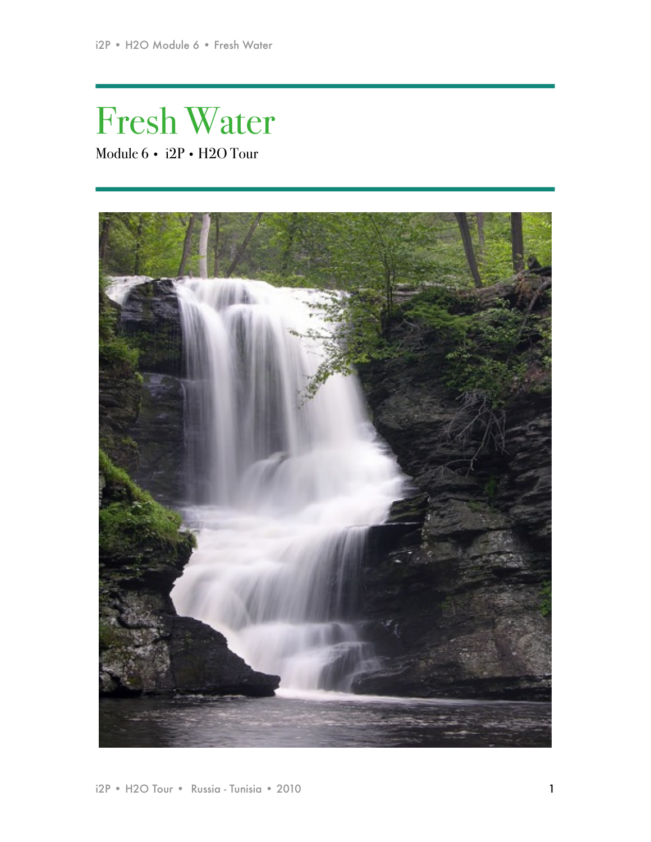# Fresh Water Module 6 • i2P • H2O Tour

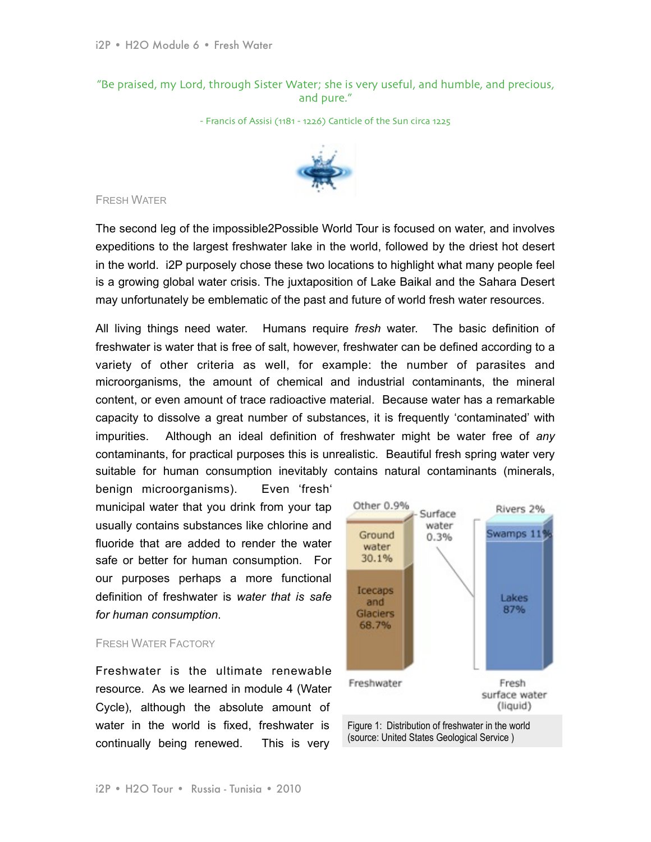"Be praised, my Lord, through Sister Water; she is very useful, and humble, and precious, and pure."

- Francis of Assisi (1181 - 1226) Canticle of the Sun circa 1225



# FRESH WATER

The second leg of the impossible2Possible World Tour is focused on water, and involves expeditions to the largest freshwater lake in the world, followed by the driest hot desert in the world. i2P purposely chose these two locations to highlight what many people feel is a growing global water crisis. The juxtaposition of Lake Baikal and the Sahara Desert may unfortunately be emblematic of the past and future of world fresh water resources.

All living things need water. Humans require *fresh* water. The basic definition of freshwater is water that is free of salt, however, freshwater can be defined according to a variety of other criteria as well, for example: the number of parasites and microorganisms, the amount of chemical and industrial contaminants, the mineral content, or even amount of trace radioactive material. Because water has a remarkable capacity to dissolve a great number of substances, it is frequently 'contaminated' with impurities. Although an ideal definition of freshwater might be water free of *any*  contaminants, for practical purposes this is unrealistic. Beautiful fresh spring water very suitable for human consumption inevitably contains natural contaminants (minerals,

benign microorganisms). Even 'fresh' municipal water that you drink from your tap usually contains substances like chlorine and fluoride that are added to render the water safe or better for human consumption. For our purposes perhaps a more functional definition of freshwater is *water that is safe for human consumption*.

# FRESH WATER FACTORY

Freshwater is the ultimate renewable resource. As we learned in module 4 (Water Cycle), although the absolute amount of water in the world is fixed, freshwater is continually being renewed. This is very



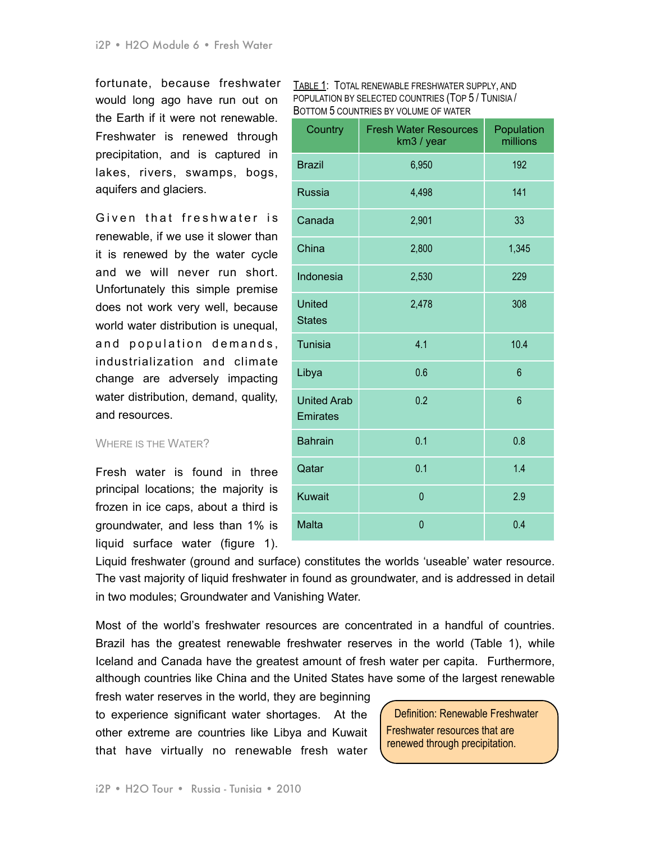fortunate, because freshwater would long ago have run out on the Earth if it were not renewable. Freshwater is renewed through precipitation, and is captured in lakes, rivers, swamps, bogs, aquifers and glaciers.

Given that freshwater is renewable, if we use it slower than it is renewed by the water cycle and we will never run short. Unfortunately this simple premise does not work very well, because world water distribution is unequal, and population demands, industrialization and climate change are adversely impacting water distribution, demand, quality, and resources.

## WHERE IS THE WATER?

Fresh water is found in three principal locations; the majority is frozen in ice caps, about a third is groundwater, and less than 1% is liquid surface water (figure 1).

| TABLE 1: TOTAL RENEWABLE FRESHWATER SUPPLY, AND     |  |
|-----------------------------------------------------|--|
| POPULATION BY SELECTED COUNTRIES (TOP 5 / TUNISIA / |  |
| BOTTOM 5 COUNTRIES BY VOLUME OF WATER               |  |

| Country                               | <b>Fresh Water Resources</b><br>km3 / year | Population<br>millions |
|---------------------------------------|--------------------------------------------|------------------------|
| <b>Brazil</b>                         | 6,950                                      | 192                    |
| <b>Russia</b>                         | 4,498                                      | 141                    |
| Canada                                | 2,901                                      | 33                     |
| China                                 | 2,800                                      | 1,345                  |
| Indonesia                             | 2,530                                      | 229                    |
| <b>United</b><br><b>States</b>        | 2,478                                      | 308                    |
| <b>Tunisia</b>                        | 4.1                                        | 10.4                   |
| Libya                                 | 0.6                                        | $6\overline{6}$        |
| <b>United Arab</b><br><b>Emirates</b> | 0.2                                        | $6\phantom{a}$         |
| <b>Bahrain</b>                        | 0.1                                        | 0.8                    |
| Qatar                                 | 0.1                                        | 1.4                    |
| <b>Kuwait</b>                         | $\overline{0}$                             | 2.9                    |
| Malta                                 | $\mathbf{0}$                               | 0.4                    |

Liquid freshwater (ground and surface) constitutes the worlds 'useable' water resource. The vast majority of liquid freshwater in found as groundwater, and is addressed in detail in two modules; Groundwater and Vanishing Water.

Most of the world's freshwater resources are concentrated in a handful of countries. Brazil has the greatest renewable freshwater reserves in the world (Table 1), while Iceland and Canada have the greatest amount of fresh water per capita. Furthermore, although countries like China and the United States have some of the largest renewable

fresh water reserves in the world, they are beginning to experience significant water shortages. At the other extreme are countries like Libya and Kuwait that have virtually no renewable fresh water

Definition: Renewable Freshwater Freshwater resources that are renewed through precipitation.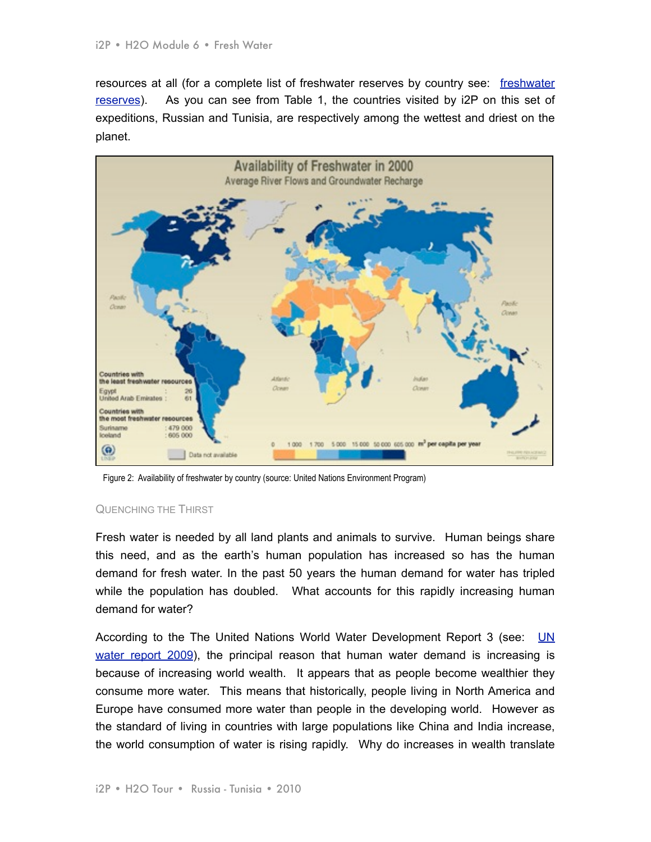resources at all (for a complete list of freshwater reserves by country see: [freshwater](http://www.worldwater.org/data19981999/table1.html)  [reserves](http://www.worldwater.org/data19981999/table1.html)). As you can see from Table 1, the countries visited by i2P on this set of expeditions, Russian and Tunisia, are respectively among the wettest and driest on the planet.



Figure 2: Availability of freshwater by country (source: United Nations Environment Program)

#### QUENCHING THE THIRST

Fresh water is needed by all land plants and animals to survive. Human beings share this need, and as the earth's human population has increased so has the human demand for fresh water. In the past 50 years the human demand for water has tripled while the population has doubled. What accounts for this rapidly increasing human demand for water?

According to the The United Nations World Water Development Report 3 (see: UN [water report 2009\)](http://www.unesco.org/water/wwap/wwdr/wwdr3/pdf/WWDR3_Water_in_a_Changing_World.pdf), the principal reason that human water demand is increasing is because of increasing world wealth. It appears that as people become wealthier they consume more water. This means that historically, people living in North America and Europe have consumed more water than people in the developing world. However as the standard of living in countries with large populations like China and India increase, the world consumption of water is rising rapidly. Why do increases in wealth translate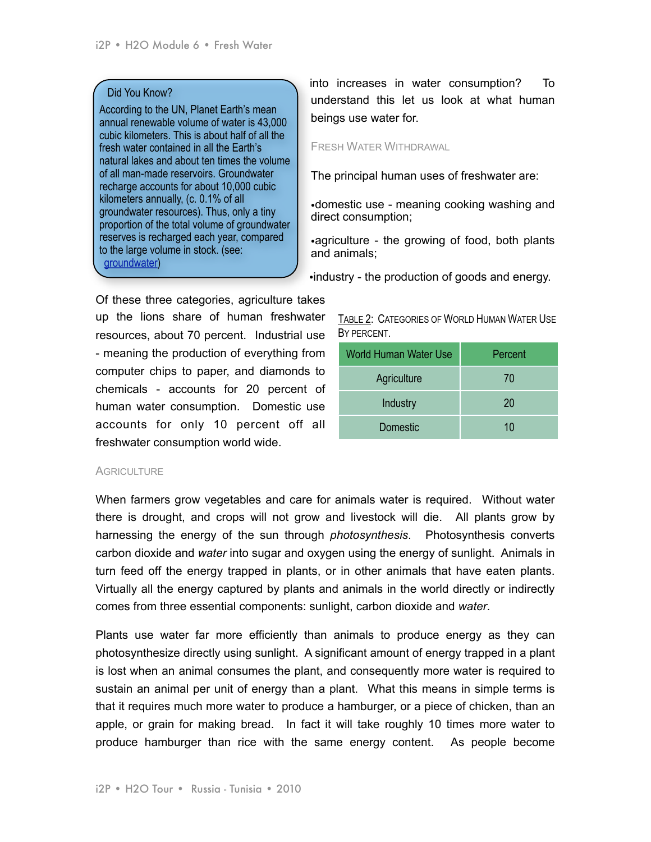# Did You Know?

According to the UN, Planet Earth's mean annual renewable volume of water is 43,000 cubic kilometers. This is about half of all the fresh water contained in all the Earth's natural lakes and about ten times the volume of all man-made reservoirs. Groundwater recharge accounts for about 10,000 cubic kilometers annually, (c. 0.1% of all groundwater resources). Thus, only a tiny proportion of the total volume of groundwater reserves is recharged each year, compared to the large volume in stock. (see: [groundwater\)](http://www.yearofplanetearth.org/content/downloads/Groundwater.pdf)

Of these three categories, agriculture takes up the lions share of human freshwater resources, about 70 percent. Industrial use - meaning the production of everything from computer chips to paper, and diamonds to chemicals - accounts for 20 percent of human water consumption. Domestic use accounts for only 10 percent off all freshwater consumption world wide.

#### **AGRICULTURE**

When farmers grow vegetables and care for animals water is required. Without water there is drought, and crops will not grow and livestock will die. All plants grow by harnessing the energy of the sun through *photosynthesis*. Photosynthesis converts carbon dioxide and *water* into sugar and oxygen using the energy of sunlight. Animals in turn feed off the energy trapped in plants, or in other animals that have eaten plants. Virtually all the energy captured by plants and animals in the world directly or indirectly comes from three essential components: sunlight, carbon dioxide and *water*.

Plants use water far more efficiently than animals to produce energy as they can photosynthesize directly using sunlight. A significant amount of energy trapped in a plant is lost when an animal consumes the plant, and consequently more water is required to sustain an animal per unit of energy than a plant. What this means in simple terms is that it requires much more water to produce a hamburger, or a piece of chicken, than an apple, or grain for making bread. In fact it will take roughly 10 times more water to produce hamburger than rice with the same energy content. As people become

into increases in water consumption? To understand this let us look at what human beings use water for.

#### FRESH WATER WITHDRAWAL

The principal human uses of freshwater are:

•domestic use - meaning cooking washing and direct consumption;

•agriculture - the growing of food, both plants and animals;

•industry - the production of goods and energy.

| TABLE 2: CATEGORIES OF WORLD HUMAN WATER USE |  |
|----------------------------------------------|--|
| BY PERCENT.                                  |  |

| World Human Water Use | Percent |
|-----------------------|---------|
| Agriculture           | 70      |
| Industry              | 20      |
| Domestic              | 10      |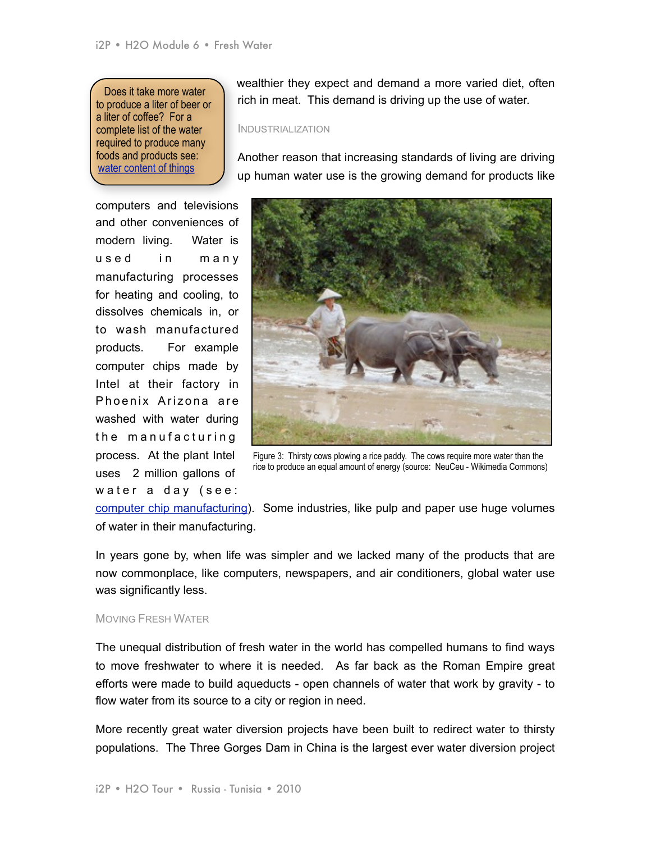Does it take more water to produce a liter of beer or a liter of coffee? For a complete list of the water required to produce many foods and products see: [water content of things](http://www.worldwater.org/data20082009/Table19.pdf)

computers and televisions and other conveniences of modern living. Water is used in many manufacturing processes for heating and cooling, to dissolves chemicals in, or to wash manufactured products. For example computer chips made by Intel at their factory in Phoenix Arizona are washed with water during the manufacturing process. At the plant Intel uses 2 million gallons of water a day (see:

wealthier they expect and demand a more varied diet, often rich in meat. This demand is driving up the use of water.

#### INDUSTRIALIZATION

Another reason that increasing standards of living are driving up human water use is the growing demand for products like



Figure 3: Thirsty cows plowing a rice paddy. The cows require more water than the rice to produce an equal amount of energy (source: NeuCeu - Wikimedia Commons)

[computer chip manufacturing\)](http://www.wired.com/science/planetearth/magazine/16-05/ff_peakwater?currentPage=2). Some industries, like pulp and paper use huge volumes of water in their manufacturing.

In years gone by, when life was simpler and we lacked many of the products that are now commonplace, like computers, newspapers, and air conditioners, global water use was significantly less.

#### MOVING FRESH WATER

The unequal distribution of fresh water in the world has compelled humans to find ways to move freshwater to where it is needed. As far back as the Roman Empire great efforts were made to build aqueducts - open channels of water that work by gravity - to flow water from its source to a city or region in need.

More recently great water diversion projects have been built to redirect water to thirsty populations. The Three Gorges Dam in China is the largest ever water diversion project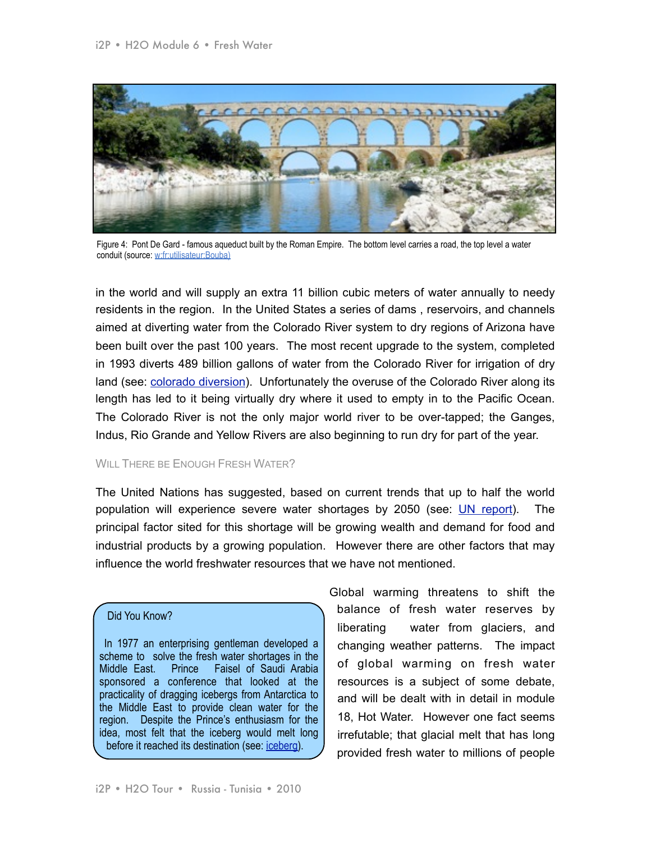

Figure 4: Pont De Gard - famous aqueduct built by the Roman Empire. The bottom level carries a road, the top level a water conduit (source: w:fr:utilisateur:Bouba)

in the world and will supply an extra 11 billion cubic meters of water annually to needy residents in the region. In the United States a series of dams , reservoirs, and channels aimed at diverting water from the Colorado River system to dry regions of Arizona have been built over the past 100 years. The most recent upgrade to the system, completed in 1993 diverts 489 billion gallons of water from the Colorado River for irrigation of dry land (see: [colorado diversion\)](http://www.wired.com/science/planetearth/magazine/16-05/ff_peakwater). Unfortunately the overuse of the Colorado River along its length has led to it being virtually dry where it used to empty in to the Pacific Ocean. The Colorado River is not the only major world river to be over-tapped; the Ganges, Indus, Rio Grande and Yellow Rivers are also beginning to run dry for part of the year.

# WILL THERE BE ENOUGH FRESH WATER?

The United Nations has suggested, based on current trends that up to half the world population will experience severe water shortages by 2050 (see: [UN report\)](http://www.usatoday.com/news/nation/2003-01-26-water-usat_x.htm). The principal factor sited for this shortage will be growing wealth and demand for food and industrial products by a growing population. However there are other factors that may influence the world freshwater resources that we have not mentioned.

## Did You Know?

 In 1977 an enterprising gentleman developed a scheme to solve the fresh water shortages in the Middle East. Prince Faisel of Saudi Arabia sponsored a conference that looked at the practicality of dragging icebergs from Antarctica to the Middle East to provide clean water for the region. Despite the Prince's enthusiasm for the idea, most felt that the iceberg would melt long before it reached its destination (see: [iceberg\)](http://www.time.com/time/magazine/article/0,9171,915637-1,00.html).

Global warming threatens to shift the balance of fresh water reserves by liberating water from glaciers, and changing weather patterns. The impact of global warming on fresh water resources is a subject of some debate, and will be dealt with in detail in module 18, Hot Water. However one fact seems irrefutable; that glacial melt that has long provided fresh water to millions of people